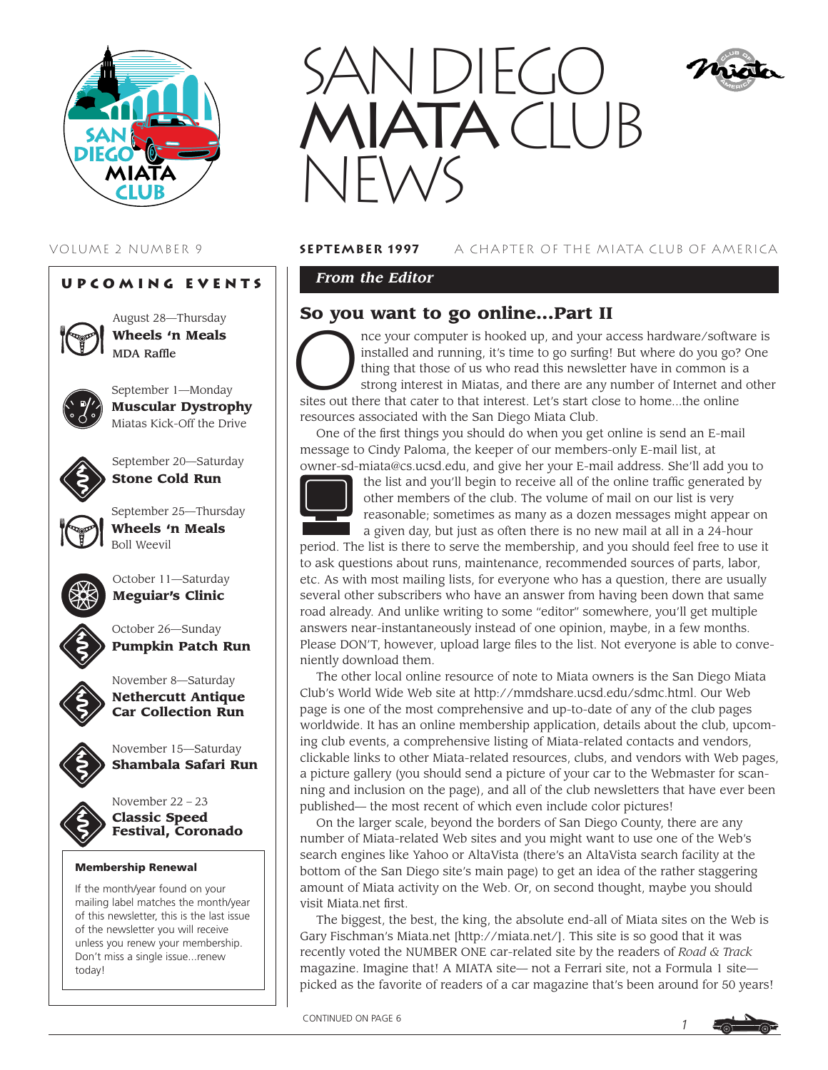

# **Upcoming Events**



August 28—Thursday **Wheels 'n Meals** MDA Raffle



September 1—Monday **Muscular Dystrophy** Miatas Kick-Off the Drive



September 20—Saturday **Stone Cold Run**



September 25—Thursday **Wheels 'n Meals** Boll Weevil



October 11—Saturday **Meguiar's Clinic**



October 26—Sunday **Pumpkin Patch Run**

**Car Collection Run**

November 15—Saturday **Shambala Safari Run**

November 8—Saturday **Nethercutt Antique**







**Classic Speed Festival, Coronado**

## **Membership Renewal**

If the month/year found on your mailing label matches the month/year of this newsletter, this is the last issue of the newsletter you will receive unless you renew your membership. Don't miss a single issue...renew today!



# VOLUME 2 NUMBER 9 **September 1997** A CHAPTER OF THE MIATA CLUB OF AMERICA

*From the Editor* 

# **So you want to go online...Part II**

nce your computer is hooked up, and your access hardware/software is installed and running, it's time to go surfing! But where do you go? One thing that those of us who read this newsletter have in common is a strong interest in Miatas, and there are any number of Internet and other sites out there that cater to that interest. Let's start close to home...the online resources associated with the San Diego Miata Club.

One of the first things you should do when you get online is send an E-mail message to Cindy Paloma, the keeper of our members-only E-mail list, at owner-sd-miata@cs.ucsd.edu, and give her your E-mail address. She'll add you to



the list and you'll begin to receive all of the online traffic generated by other members of the club. The volume of mail on our list is very reasonable; sometimes as many as a dozen messages might appear on a given day, but just as often there is no new mail at all in a 24-hour

period. The list is there to serve the membership, and you should feel free to use it to ask questions about runs, maintenance, recommended sources of parts, labor, etc. As with most mailing lists, for everyone who has a question, there are usually several other subscribers who have an answer from having been down that same road already. And unlike writing to some "editor" somewhere, you'll get multiple answers near-instantaneously instead of one opinion, maybe, in a few months. Please DON'T, however, upload large files to the list. Not everyone is able to conveniently download them.

The other local online resource of note to Miata owners is the San Diego Miata Club's World Wide Web site at http://mmdshare.ucsd.edu/sdmc.html. Our Web page is one of the most comprehensive and up-to-date of any of the club pages worldwide. It has an online membership application, details about the club, upcoming club events, a comprehensive listing of Miata-related contacts and vendors, clickable links to other Miata-related resources, clubs, and vendors with Web pages, a picture gallery (you should send a picture of your car to the Webmaster for scanning and inclusion on the page), and all of the club newsletters that have ever been published— the most recent of which even include color pictures!

On the larger scale, beyond the borders of San Diego County, there are any number of Miata-related Web sites and you might want to use one of the Web's search engines like Yahoo or AltaVista (there's an AltaVista search facility at the bottom of the San Diego site's main page) to get an idea of the rather staggering amount of Miata activity on the Web. Or, on second thought, maybe you should visit Miata.net first.

The biggest, the best, the king, the absolute end-all of Miata sites on the Web is Gary Fischman's Miata.net [http://miata.net/]. This site is so good that it was recently voted the NUMBER ONE car-related site by the readers of *Road & Track* magazine. Imagine that! A MIATA site— not a Ferrari site, not a Formula 1 site picked as the favorite of readers of a car magazine that's been around for 50 years!



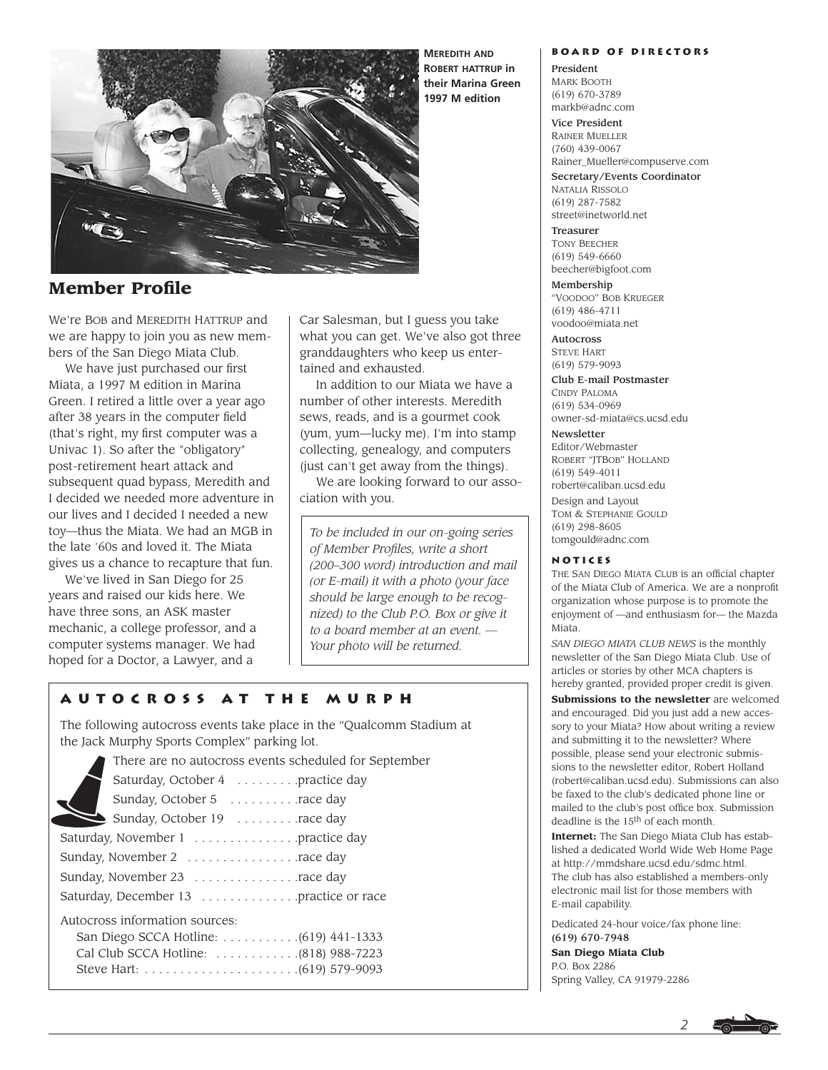

**Member Profile**

We're BOB and MEREDITH HATTRUP and we are happy to join you as new members of the San Diego Miata Club.

We have just purchased our first Miata, a 1997 M edition in Marina Green. I retired a little over a year ago after 38 years in the computer field (that's right, my first computer was a Univac 1). So after the "obligatory" post-retirement heart attack and subsequent quad bypass, Meredith and I decided we needed more adventure in our lives and I decided I needed a new toy—thus the Miata. We had an MGB in the late '60s and loved it. The Miata gives us a chance to recapture that fun.

We've lived in San Diego for 25 years and raised our kids here. We have three sons, an ASK master mechanic, a college professor, and a computer systems manager. We had hoped for a Doctor, a Lawyer, and a

◢

Car Salesman, but I guess you take what you can get. We've also got three granddaughters who keep us entertained and exhausted.

In addition to our Miata we have a number of other interests. Meredith sews, reads, and is a gourmet cook (yum, yum—lucky me). I'm into stamp collecting, genealogy, and computers (just can't get away from the things).

We are looking forward to our association with you.

*To be included in our on-going series of Member Profiles, write a short (200–300 word) introduction and mail (or E-mail) it with a photo (your face should be large enough to be recognized) to the Club P.O. Box or give it to a board member at an event. — Your photo will be returned.*

# **Autocross at the Murph**

The following autocross events take place in the "Qualcomm Stadium at the Jack Murphy Sports Complex" parking lot.

| There are no autocross events scheduled for September |
|-------------------------------------------------------|
| Saturday, October 4 practice day                      |
| Sunday, October 5 race day                            |
| Sunday, October 19 race day                           |
| Saturday, November 1 practice day                     |
| Sunday, November 2 race day                           |
| Sunday, November 23 race day                          |
| Saturday, December 13 practice or race                |
| Autocross information sources:                        |
|                                                       |
| Cal Club SCCA Hotline:  (818) 988-7223                |
|                                                       |

**Board of Directors**

President MARK BOOTH (619) 670-3789 markb@adnc.com

Vice President RAINER MUELLER (760) 439-0067 Rainer\_Mueller@compuserve.com

Secretary/Events Coordinator NATALIA RISSOLO (619) 287-7582 street@inetworld.net

Treasurer TONY BEECHER (619) 549-6660 beecher@bigfoot.com

Membership "VOODOO" BOB KRUEGER (619) 486-4711 voodoo@miata.net

**Autocross** STEVE HART (619) 579-9093

Club E-mail Postmaster CINDY PALOMA (619) 534-0969 owner-sd-miata@cs.ucsd.edu

#### Newsletter

Editor/Webmaster ROBERT "JTBOB" HOLLAND (619) 549-4011 robert@caliban.ucsd.edu Design and Layout TOM & STEPHANIE GOULD (619) 298-8605 tomgould@adnc.com

#### **Notices**

THE SAN DIEGO MIATA CLUB is an official chapter of the Miata Club of America. We are a nonprofit organization whose purpose is to promote the enjoyment of —and enthusiasm for— the Mazda Miata.

*SAN DIEGO MIATA CLUB NEWS* is the monthly newsletter of the San Diego Miata Club. Use of articles or stories by other MCA chapters is hereby granted, provided proper credit is given.

**Submissions to the newsletter** are welcomed and encouraged. Did you just add a new accessory to your Miata? How about writing a review and submitting it to the newsletter? Where possible, please send your electronic submissions to the newsletter editor, Robert Holland (robert@caliban.ucsd.edu). Submissions can also be faxed to the club's dedicated phone line or mailed to the club's post office box. Submission deadline is the 15th of each month.

**Internet:** The San Diego Miata Club has established a dedicated World Wide Web Home Page at http://mmdshare.ucsd.edu/sdmc.html. The club has also established a members-only electronic mail list for those members with E-mail capability.

*2*

Dedicated 24-hour voice/fax phone line: (619) 670-7948

**San Diego Miata Club** P.O. Box 2286 Spring Valley, CA 91979-2286

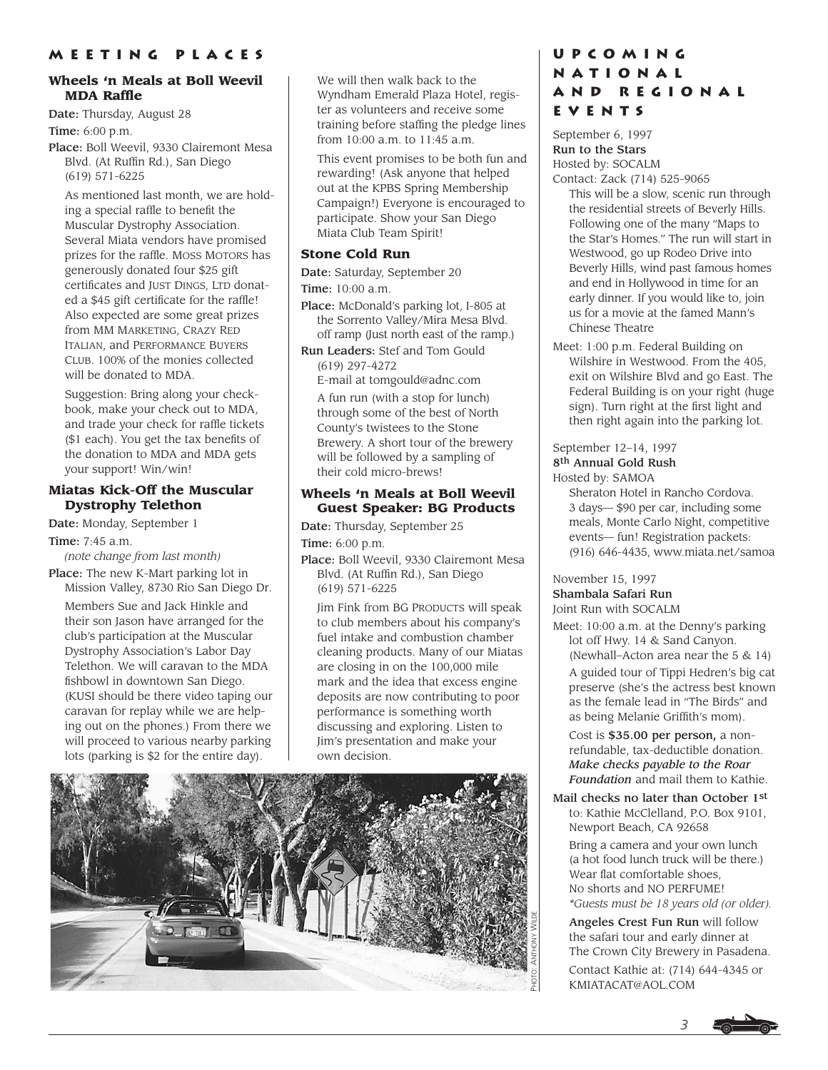# **Wheels 'n Meals at Boll Weevil MDA Raffle**

Date: Thursday, August 28 Time: 6:00 p.m.

Place: Boll Weevil, 9330 Clairemont Mesa Blvd. (At Ruffin Rd.), San Diego (619) 571-6225

As mentioned last month, we are holding a special raffle to benefit the Muscular Dystrophy Association. Several Miata vendors have promised prizes for the raffle. MOSS MOTORS has generously donated four \$25 gift certificates and JUST DINGS, LTD donated a \$45 gift certificate for the raffle! Also expected are some great prizes from MM MARKETING, CRAZY RED ITALIAN, and PERFORMANCE BUYERS CLUB. 100% of the monies collected will be donated to MDA.

Suggestion: Bring along your checkbook, make your check out to MDA, and trade your check for raffle tickets (\$1 each). You get the tax benefits of the donation to MDA and MDA gets your support! Win/win!

## **Miatas Kick-Off the Muscular Dystrophy Telethon**

Date: Monday, September 1

Time: 7:45 a.m.

*(note change from last month)*

Place: The new K-Mart parking lot in Mission Valley, 8730 Rio San Diego Dr.

Members Sue and Jack Hinkle and their son Jason have arranged for the club's participation at the Muscular Dystrophy Association's Labor Day Telethon. We will caravan to the MDA fishbowl in downtown San Diego. (KUSI should be there video taping our caravan for replay while we are helping out on the phones.) From there we will proceed to various nearby parking lots (parking is \$2 for the entire day).

We will then walk back to the Wyndham Emerald Plaza Hotel, register as volunteers and receive some training before staffing the pledge lines from 10:00 a.m. to 11:45 a.m.

This event promises to be both fun and rewarding! (Ask anyone that helped out at the KPBS Spring Membership Campaign!) Everyone is encouraged to participate. Show your San Diego Miata Club Team Spirit!

## **Stone Cold Run**

Date: Saturday, September 20 Time: 10:00 a.m.

Place: McDonald's parking lot, I-805 at the Sorrento Valley/Mira Mesa Blvd. off ramp (Just north east of the ramp.)

Run Leaders: Stef and Tom Gould (619) 297-4272

E-mail at tomgould@adnc.com

A fun run (with a stop for lunch) through some of the best of North County's twistees to the Stone Brewery. A short tour of the brewery will be followed by a sampling of their cold micro-brews!

## **Wheels 'n Meals at Boll Weevil Guest Speaker: BG Products**

Date: Thursday, September 25 Time: 6:00 p.m.

Place: Boll Weevil, 9330 Clairemont Mesa Blvd. (At Ruffin Rd.), San Diego (619) 571-6225

Jim Fink from BG PRODUCTS will speak to club members about his company's fuel intake and combustion chamber cleaning products. Many of our Miatas are closing in on the 100,000 mile mark and the idea that excess engine deposits are now contributing to poor performance is something worth discussing and exploring. Listen to Jim's presentation and make your own decision.



# **Upcoming National and Regional Events**

September 6, 1997 Run to the Stars Hosted by: SOCALM Contact: Zack (714) 525-9065

This will be a slow, scenic run through the residential streets of Beverly Hills. Following one of the many "Maps to the Star's Homes." The run will start in Westwood, go up Rodeo Drive into Beverly Hills, wind past famous homes and end in Hollywood in time for an early dinner. If you would like to, join us for a movie at the famed Mann's Chinese Theatre

Meet: 1:00 p.m. Federal Building on Wilshire in Westwood. From the 405, exit on Wilshire Blvd and go East. The Federal Building is on your right (huge sign). Turn right at the first light and then right again into the parking lot.

## September 12–14, 1997 8th Annual Gold Rush Hosted by: SAMOA

Sheraton Hotel in Rancho Cordova. 3 days— \$90 per car, including some meals, Monte Carlo Night, competitive events— fun! Registration packets: (916) 646-4435, www.miata.net/samoa

## November 15, 1997 Shambala Safari Run Joint Run with SOCALM

Meet: 10:00 a.m. at the Denny's parking lot off Hwy. 14 & Sand Canyon. (Newhall–Acton area near the 5 & 14) A guided tour of Tippi Hedren's big cat preserve (she's the actress best known as the female lead in "The Birds" and as being Melanie Griffith's mom).

Cost is \$35.00 per person, a nonrefundable, tax-deductible donation. *Make checks payable to the Roar Foundation* and mail them to Kathie.

Mail checks no later than October 1st to: Kathie McClelland, P.O. Box 9101, Newport Beach, CA 92658 Bring a camera and your own lunch (a hot food lunch truck will be there.) Wear flat comfortable shoes, No shorts and NO PERFUME! *\*Guests must be 18 years old (or older).*

Angeles Crest Fun Run will follow the safari tour and early dinner at The Crown City Brewery in Pasadena.

Contact Kathie at: (714) 644-4345 or KMIATACAT@AOL.COM

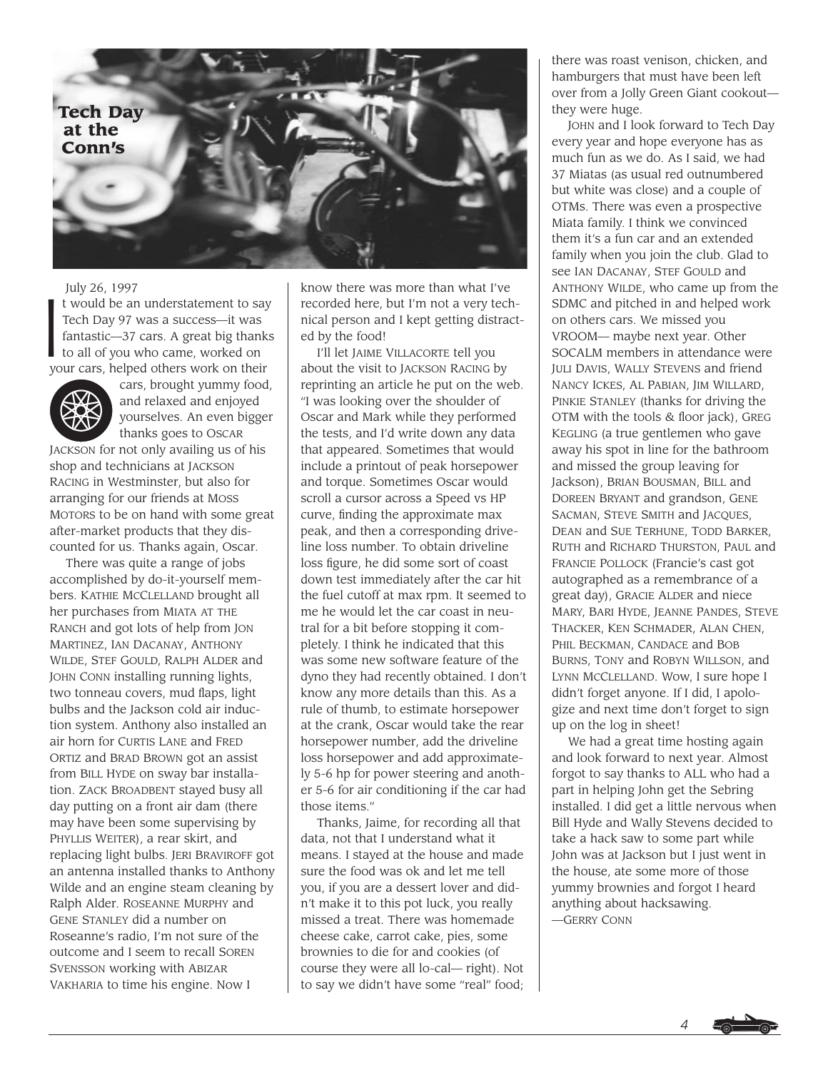

#### July 26, 1997

 $\begin{array}{c} \n\begin{array}{c} \n\end{array} \\
\uparrow \quad \text{if } \\
\text{if } \\
\text{it}\n\end{array}$ t would be an understatement to say Tech Day 97 was a success—it was fantastic—37 cars. A great big thanks to all of you who came, worked on your cars, helped others work on their



cars, brought yummy food, and relaxed and enjoyed yourselves. An even bigger thanks goes to OSCAR

JACKSON for not only availing us of his shop and technicians at JACKSON RACING in Westminster, but also for arranging for our friends at MOSS MOTORS to be on hand with some great after-market products that they discounted for us. Thanks again, Oscar.

There was quite a range of jobs accomplished by do-it-yourself members. KATHIE MCCLELLAND brought all her purchases from MIATA AT THE RANCH and got lots of help from JON MARTINEZ, IAN DACANAY, ANTHONY WILDE, STEF GOULD, RALPH ALDER and JOHN CONN installing running lights, two tonneau covers, mud flaps, light bulbs and the Jackson cold air induction system. Anthony also installed an air horn for CURTIS LANE and FRED ORTIZ and BRAD BROWN got an assist from BILL HYDE on sway bar installation. ZACK BROADBENT stayed busy all day putting on a front air dam (there may have been some supervising by PHYLLIS WEITER), a rear skirt, and replacing light bulbs. JERI BRAVIROFF got an antenna installed thanks to Anthony Wilde and an engine steam cleaning by Ralph Alder. ROSEANNE MURPHY and GENE STANLEY did a number on Roseanne's radio, I'm not sure of the outcome and I seem to recall SOREN SVENSSON working with ABIZAR VAKHARIA to time his engine. Now I

know there was more than what I've recorded here, but I'm not a very technical person and I kept getting distracted by the food!

I'll let JAIME VILLACORTE tell you about the visit to JACKSON RACING by reprinting an article he put on the web. "I was looking over the shoulder of Oscar and Mark while they performed the tests, and I'd write down any data that appeared. Sometimes that would include a printout of peak horsepower and torque. Sometimes Oscar would scroll a cursor across a Speed vs HP curve, finding the approximate max peak, and then a corresponding driveline loss number. To obtain driveline loss figure, he did some sort of coast down test immediately after the car hit the fuel cutoff at max rpm. It seemed to me he would let the car coast in neutral for a bit before stopping it completely. I think he indicated that this was some new software feature of the dyno they had recently obtained. I don't know any more details than this. As a rule of thumb, to estimate horsepower at the crank, Oscar would take the rear horsepower number, add the driveline loss horsepower and add approximately 5-6 hp for power steering and another 5-6 for air conditioning if the car had those items."

Thanks, Jaime, for recording all that data, not that I understand what it means. I stayed at the house and made sure the food was ok and let me tell you, if you are a dessert lover and didn't make it to this pot luck, you really missed a treat. There was homemade cheese cake, carrot cake, pies, some brownies to die for and cookies (of course they were all lo-cal— right). Not to say we didn't have some "real" food; there was roast venison, chicken, and hamburgers that must have been left over from a Jolly Green Giant cookout they were huge.

JOHN and I look forward to Tech Day every year and hope everyone has as much fun as we do. As I said, we had 37 Miatas (as usual red outnumbered but white was close) and a couple of OTMs. There was even a prospective Miata family. I think we convinced them it's a fun car and an extended family when you join the club. Glad to see IAN DACANAY, STEF GOULD and ANTHONY WILDE, who came up from the SDMC and pitched in and helped work on others cars. We missed you VROOM— maybe next year. Other SOCALM members in attendance were JULI DAVIS, WALLY STEVENS and friend NANCY ICKES, AL PABIAN, JIM WILLARD, PINKIE STANLEY (thanks for driving the OTM with the tools & floor jack), GREG KEGLING (a true gentlemen who gave away his spot in line for the bathroom and missed the group leaving for Jackson), BRIAN BOUSMAN, BILL and DOREEN BRYANT and grandson, GENE SACMAN, STEVE SMITH and JACQUES, DEAN and SUE TERHUNE, TODD BARKER, RUTH and RICHARD THURSTON, PAUL and FRANCIE POLLOCK (Francie's cast got autographed as a remembrance of a great day), GRACIE ALDER and niece MARY, BARI HYDE, JEANNE PANDES, STEVE THACKER, KEN SCHMADER, ALAN CHEN, PHIL BECKMAN, CANDACE and BOB BURNS, TONY and ROBYN WILLSON, and LYNN MCCLELLAND. Wow, I sure hope I didn't forget anyone. If I did, I apologize and next time don't forget to sign up on the log in sheet!

We had a great time hosting again and look forward to next year. Almost forgot to say thanks to ALL who had a part in helping John get the Sebring installed. I did get a little nervous when Bill Hyde and Wally Stevens decided to take a hack saw to some part while John was at Jackson but I just went in the house, ate some more of those yummy brownies and forgot I heard anything about hacksawing. —GERRY CONN

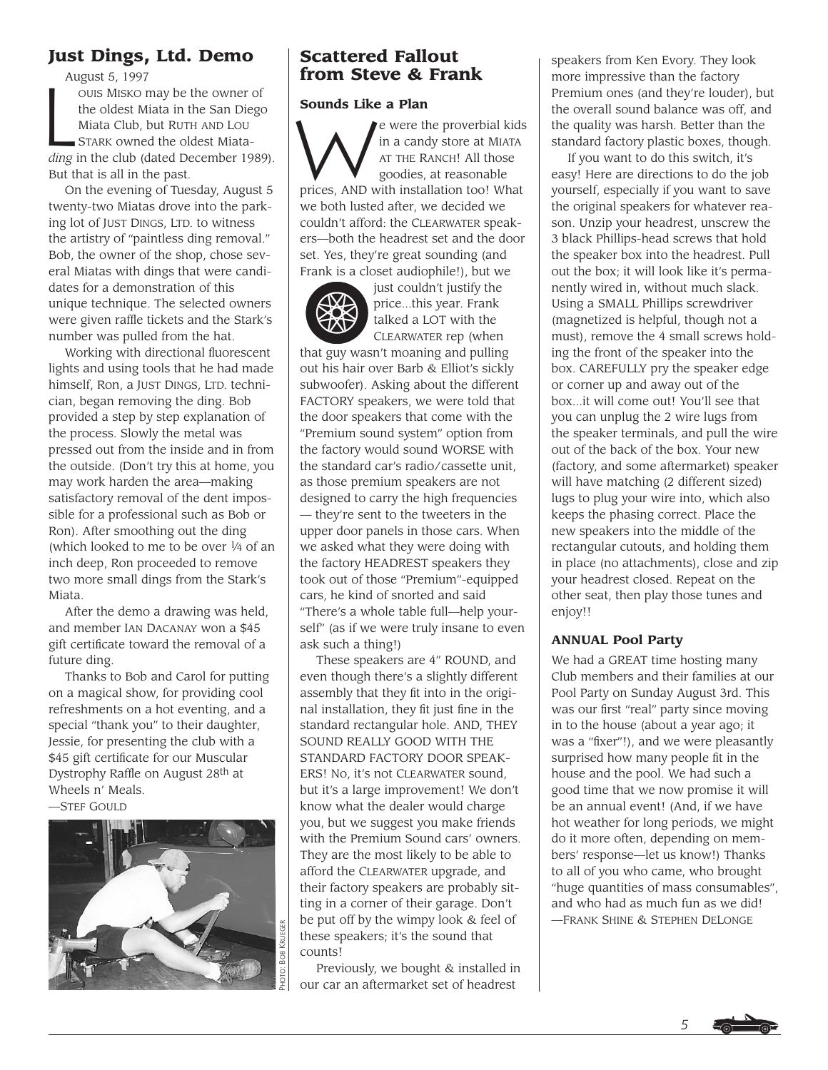# **Just Dings, Ltd. Demo**

August 5, 1997

Au<br>
L OUIS MISKO may be the owner of the oldest Miata in the San Diego Miata Club, but RUTH AND LOU STARK owned the oldest Miata*ding* in the club (dated December 1989). But that is all in the past.

On the evening of Tuesday, August 5 twenty-two Miatas drove into the parking lot of JUST DINGS, LTD. to witness the artistry of "paintless ding removal." Bob, the owner of the shop, chose several Miatas with dings that were candidates for a demonstration of this unique technique. The selected owners were given raffle tickets and the Stark's number was pulled from the hat.

Working with directional fluorescent lights and using tools that he had made himself, Ron, a JUST DINGS, LTD. technician, began removing the ding. Bob provided a step by step explanation of the process. Slowly the metal was pressed out from the inside and in from the outside. (Don't try this at home, you may work harden the area—making satisfactory removal of the dent impossible for a professional such as Bob or Ron). After smoothing out the ding (which looked to me to be over 1⁄4 of an inch deep, Ron proceeded to remove two more small dings from the Stark's Miata.

After the demo a drawing was held, and member IAN DACANAY won a \$45 gift certificate toward the removal of a future ding.

Thanks to Bob and Carol for putting on a magical show, for providing cool refreshments on a hot eventing, and a special "thank you" to their daughter, Jessie, for presenting the club with a \$45 gift certificate for our Muscular Dystrophy Raffle on August 28th at Wheels n' Meals.

—STEF GOULD



# **Scattered Fallout from Steve & Frank**

## **Sounds Like a Plan**

e were the proverbial kids in a candy store at MIATA AT THE RANCH! All those goodies, at reasonable prices, AND with installation too! What we both lusted after, we decided we couldn't afford: the CLEARWATER speakers—both the headrest set and the door set. Yes, they're great sounding (and Frank is a closet audiophile!), but we



just couldn't justify the price...this year. Frank talked a LOT with the CLEARWATER rep (when

that guy wasn't moaning and pulling out his hair over Barb & Elliot's sickly subwoofer). Asking about the different FACTORY speakers, we were told that the door speakers that come with the "Premium sound system" option from the factory would sound WORSE with the standard car's radio/cassette unit, as those premium speakers are not designed to carry the high frequencies — they're sent to the tweeters in the upper door panels in those cars. When we asked what they were doing with the factory HEADREST speakers they took out of those "Premium"-equipped cars, he kind of snorted and said "There's a whole table full—help yourself" (as if we were truly insane to even ask such a thing!)

These speakers are 4" ROUND, and even though there's a slightly different assembly that they fit into in the original installation, they fit just fine in the standard rectangular hole. AND, THEY SOUND REALLY GOOD WITH THE STANDARD FACTORY DOOR SPEAK-ERS! No, it's not CLEARWATER sound, but it's a large improvement! We don't know what the dealer would charge you, but we suggest you make friends with the Premium Sound cars' owners. They are the most likely to be able to afford the CLEARWATER upgrade, and their factory speakers are probably sitting in a corner of their garage. Don't be put off by the wimpy look & feel of these speakers; it's the sound that counts!

Previously, we bought & installed in our car an aftermarket set of headrest

speakers from Ken Evory. They look more impressive than the factory Premium ones (and they're louder), but the overall sound balance was off, and the quality was harsh. Better than the standard factory plastic boxes, though.

If you want to do this switch, it's easy! Here are directions to do the job yourself, especially if you want to save the original speakers for whatever reason. Unzip your headrest, unscrew the 3 black Phillips-head screws that hold the speaker box into the headrest. Pull out the box; it will look like it's permanently wired in, without much slack. Using a SMALL Phillips screwdriver (magnetized is helpful, though not a must), remove the 4 small screws holding the front of the speaker into the box. CAREFULLY pry the speaker edge or corner up and away out of the box...it will come out! You'll see that you can unplug the 2 wire lugs from the speaker terminals, and pull the wire out of the back of the box. Your new (factory, and some aftermarket) speaker will have matching (2 different sized) lugs to plug your wire into, which also keeps the phasing correct. Place the new speakers into the middle of the rectangular cutouts, and holding them in place (no attachments), close and zip your headrest closed. Repeat on the other seat, then play those tunes and enjoy!!

# **ANNUAL Pool Party**

We had a GREAT time hosting many Club members and their families at our Pool Party on Sunday August 3rd. This was our first "real" party since moving in to the house (about a year ago; it was a "fixer"!), and we were pleasantly surprised how many people fit in the house and the pool. We had such a good time that we now promise it will be an annual event! (And, if we have hot weather for long periods, we might do it more often, depending on members' response—let us know!) Thanks to all of you who came, who brought "huge quantities of mass consumables", and who had as much fun as we did! —FRANK SHINE & STEPHEN DELONGE

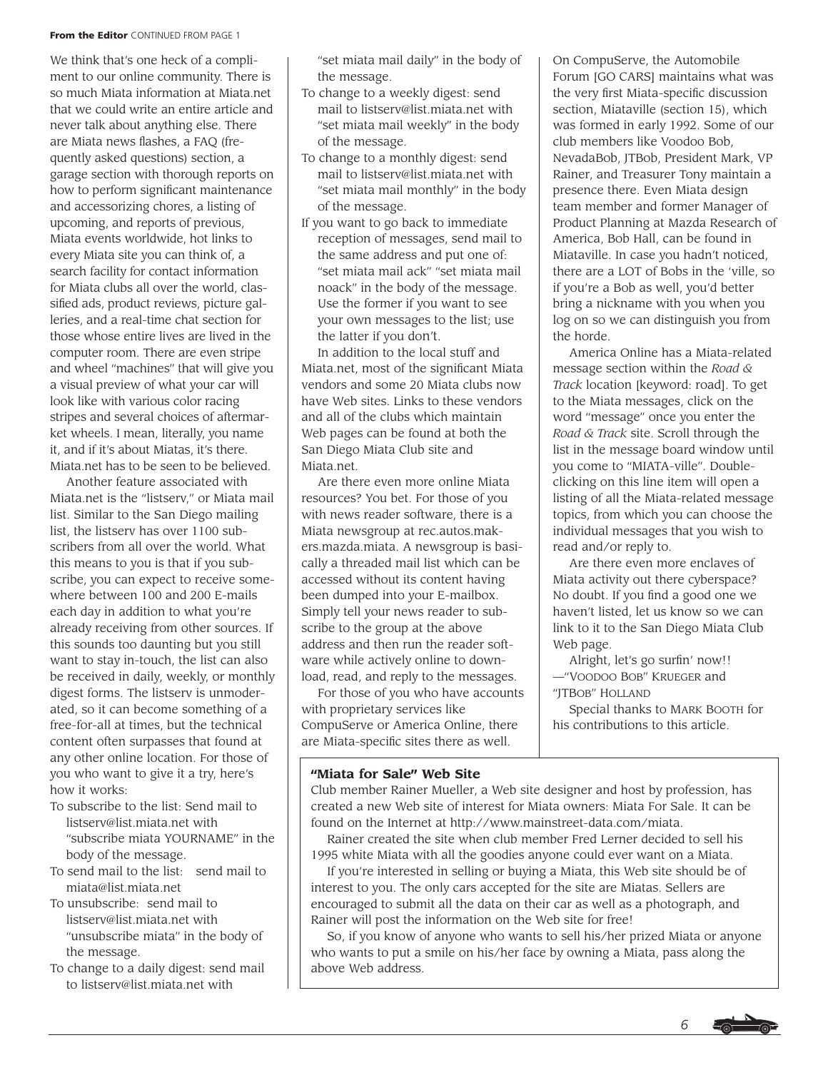#### **From the Editor** CONTINUED FROM PAGE 1

We think that's one heck of a compliment to our online community. There is so much Miata information at Miata.net that we could write an entire article and never talk about anything else. There are Miata news flashes, a FAQ (frequently asked questions) section, a garage section with thorough reports on how to perform significant maintenance and accessorizing chores, a listing of upcoming, and reports of previous, Miata events worldwide, hot links to every Miata site you can think of, a search facility for contact information for Miata clubs all over the world, classified ads, product reviews, picture galleries, and a real-time chat section for those whose entire lives are lived in the computer room. There are even stripe and wheel "machines" that will give you a visual preview of what your car will look like with various color racing stripes and several choices of aftermarket wheels. I mean, literally, you name it, and if it's about Miatas, it's there. Miata.net has to be seen to be believed.

Another feature associated with Miata.net is the "listserv," or Miata mail list. Similar to the San Diego mailing list, the listserv has over 1100 subscribers from all over the world. What this means to you is that if you subscribe, you can expect to receive somewhere between 100 and 200 E-mails each day in addition to what you're already receiving from other sources. If this sounds too daunting but you still want to stay in-touch, the list can also be received in daily, weekly, or monthly digest forms. The listserv is unmoderated, so it can become something of a free-for-all at times, but the technical content often surpasses that found at any other online location. For those of you who want to give it a try, here's how it works:

- To subscribe to the list: Send mail to listserv@list.miata.net with "subscribe miata YOURNAME" in the body of the message.
- To send mail to the list: send mail to miata@list.miata.net
- To unsubscribe: send mail to listserv@list.miata.net with "unsubscribe miata" in the body of the message.
- To change to a daily digest: send mail to listserv@list.miata.net with

"set miata mail daily" in the body of the message.

- To change to a weekly digest: send mail to listserv@list.miata.net with "set miata mail weekly" in the body of the message.
- To change to a monthly digest: send mail to listserv@list.miata.net with "set miata mail monthly" in the body of the message.
- If you want to go back to immediate reception of messages, send mail to the same address and put one of: "set miata mail ack" "set miata mail noack" in the body of the message. Use the former if you want to see your own messages to the list; use the latter if you don't.

In addition to the local stuff and Miata.net, most of the significant Miata vendors and some 20 Miata clubs now have Web sites. Links to these vendors and all of the clubs which maintain Web pages can be found at both the San Diego Miata Club site and Miata.net.

Are there even more online Miata resources? You bet. For those of you with news reader software, there is a Miata newsgroup at rec.autos.makers.mazda.miata. A newsgroup is basically a threaded mail list which can be accessed without its content having been dumped into your E-mailbox. Simply tell your news reader to subscribe to the group at the above address and then run the reader software while actively online to download, read, and reply to the messages.

For those of you who have accounts with proprietary services like CompuServe or America Online, there are Miata-specific sites there as well.

On CompuServe, the Automobile Forum [GO CARS] maintains what was the very first Miata-specific discussion section, Miataville (section 15), which was formed in early 1992. Some of our club members like Voodoo Bob, NevadaBob, JTBob, President Mark, VP Rainer, and Treasurer Tony maintain a presence there. Even Miata design team member and former Manager of Product Planning at Mazda Research of America, Bob Hall, can be found in Miataville. In case you hadn't noticed, there are a LOT of Bobs in the 'ville, so if you're a Bob as well, you'd better bring a nickname with you when you log on so we can distinguish you from the horde.

America Online has a Miata-related message section within the *Road & Track* location [keyword: road]. To get to the Miata messages, click on the word "message" once you enter the *Road & Track* site. Scroll through the list in the message board window until you come to "MIATA-ville". Doubleclicking on this line item will open a listing of all the Miata-related message topics, from which you can choose the individual messages that you wish to read and/or reply to.

Are there even more enclaves of Miata activity out there cyberspace? No doubt. If you find a good one we haven't listed, let us know so we can link to it to the San Diego Miata Club Web page.

Alright, let's go surfin' now!! —"VOODOO BOB" KRUEGER and "JTBOB" HOLLAND

Special thanks to MARK BOOTH for his contributions to this article.

## **"Miata for Sale" Web Site**

Club member Rainer Mueller, a Web site designer and host by profession, has created a new Web site of interest for Miata owners: Miata For Sale. It can be found on the Internet at http://www.mainstreet-data.com/miata.

Rainer created the site when club member Fred Lerner decided to sell his 1995 white Miata with all the goodies anyone could ever want on a Miata.

If you're interested in selling or buying a Miata, this Web site should be of interest to you. The only cars accepted for the site are Miatas. Sellers are encouraged to submit all the data on their car as well as a photograph, and Rainer will post the information on the Web site for free!

So, if you know of anyone who wants to sell his/her prized Miata or anyone who wants to put a smile on his/her face by owning a Miata, pass along the above Web address.

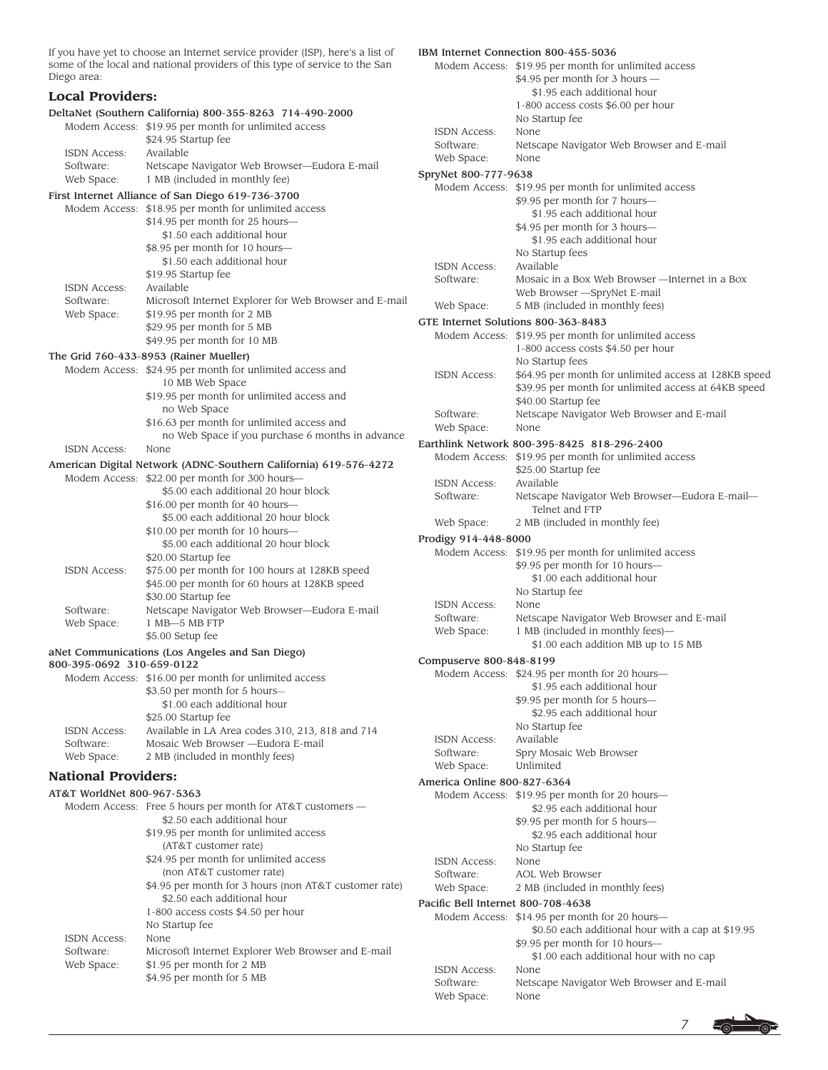If you have yet to choose an Internet service provider (ISP), here's a list of some of the local and national providers of this type of service to the San Diego area:

#### **Local Providers:** DeltaNet (Southern California) 800-355-8263 714-490-2000 Modem Access: \$19.95 per month for unlimited access \$24.95 Startup fee ISDN Access: Available Software: Netscape Navigator Web Browser—Eudora E-mail Web Space: 1 MB (included in monthly fee) First Internet Alliance of San Diego 619-736-3700 Modem Access: \$18.95 per month for unlimited access \$14.95 per month for 25 hours— \$1.50 each additional hour \$8.95 per month for 10 hours— \$1.50 each additional hour \$19.95 Startup fee ISDN Access: Available Software: Microsoft Internet Explorer for Web Browser and E-mail Web Space:  $$19.95$  per month for 2 MB \$29.95 per month for 5 MB \$49.95 per month for 10 MB The Grid 760-433-8953 (Rainer Mueller) Modem Access: \$24.95 per month for unlimited access and 10 MB Web Space \$19.95 per month for unlimited access and no Web Space \$16.63 per month for unlimited access and no Web Space if you purchase 6 months in advance ISDN Access: None American Digital Network (ADNC-Southern California) 619-576-4272 Modem Access: \$22.00 per month for 300 hours— \$5.00 each additional 20 hour block \$16.00 per month for 40 hours— \$5.00 each additional 20 hour block \$10.00 per month for 10 hours— \$5.00 each additional 20 hour block \$20.00 Startup fee ISDN Access: \$75.00 per month for 100 hours at 128KB speed \$45.00 per month for 60 hours at 128KB speed \$30.00 Startup fee Software: Netscape Navigator Web Browser—Eudora E-mail Web Space: 1 MB-5 MB FTP \$5.00 Setup fee aNet Communications (Los Angeles and San Diego) 800-395-0692 310-659-0122 Modem Access: \$16.00 per month for unlimited access \$3.50 per month for 5 hours— \$1.00 each additional hour \$25.00 Startup fee ISDN Access: Available in LA Area codes 310, 213, 818 and 714 Software: Mosaic Web Browser —Eudora E-mail Web Space: 2 MB (included in monthly fees) **National Providers:** AT&T WorldNet 800-967-5363 Modem Access: Free 5 hours per month for AT&T customers — \$2.50 each additional hour \$19.95 per month for unlimited access (AT&T customer rate) \$24.95 per month for unlimited access (non AT&T customer rate) \$4.95 per month for 3 hours (non AT&T customer rate) \$2.50 each additional hour 1-800 access costs \$4.50 per hour No Startup fee ISDN Access: None Software: Microsoft Internet Explorer Web Browser and E-mail Web Space:  $$1.95$  per month for 2 MB

\$4.95 per month for 5 MB

|                                                     | IBM Internet Connection 800-455-5036                                                  |
|-----------------------------------------------------|---------------------------------------------------------------------------------------|
|                                                     | Modem Access: \$19.95 per month for unlimited access                                  |
|                                                     | \$4.95 per month for 3 hours -                                                        |
|                                                     | \$1.95 each additional hour                                                           |
|                                                     | 1-800 access costs \$6.00 per hour                                                    |
| <b>ISDN Access:</b>                                 | No Startup fee<br>None                                                                |
| Software:                                           | Netscape Navigator Web Browser and E-mail                                             |
| Web Space:                                          | None                                                                                  |
| SpryNet 800-777-9638                                |                                                                                       |
| Modem Access:                                       | \$19.95 per month for unlimited access                                                |
|                                                     | \$9.95 per month for 7 hours-                                                         |
|                                                     | \$1.95 each additional hour                                                           |
|                                                     | \$4.95 per month for 3 hours—                                                         |
|                                                     | \$1.95 each additional hour                                                           |
|                                                     | No Startup fees                                                                       |
| ISDN Access:<br>Software:                           | Available<br>Mosaic in a Box Web Browser - Internet in a Box                          |
|                                                     | Web Browser -SpryNet E-mail                                                           |
| Web Space:                                          | 5 MB (included in monthly fees)                                                       |
|                                                     | GTE Internet Solutions 800-363-8483                                                   |
| Modem Access:                                       | \$19.95 per month for unlimited access                                                |
|                                                     | 1-800 access costs \$4.50 per hour                                                    |
|                                                     | No Startup fees                                                                       |
| <b>ISDN Access:</b>                                 | \$64.95 per month for unlimited access at 128KB speed                                 |
|                                                     | \$39.95 per month for unlimited access at 64KB speed                                  |
|                                                     | \$40.00 Startup fee                                                                   |
| Software:<br>Web Space:                             | Netscape Navigator Web Browser and E-mail<br>None                                     |
|                                                     |                                                                                       |
| Modem Access:                                       | Earthlink Network 800-395-8425 818-296-2400<br>\$19.95 per month for unlimited access |
|                                                     | \$25.00 Startup fee                                                                   |
| ISDN Access:                                        | Available                                                                             |
| Software:                                           | Netscape Navigator Web Browser-Eudora E-mail-                                         |
|                                                     | Telnet and FTP                                                                        |
| Web Space:                                          | 2 MB (included in monthly fee)                                                        |
| Prodigy 914-448-8000                                |                                                                                       |
| Modem Access:                                       | \$19.95 per month for unlimited access                                                |
|                                                     | \$9.95 per month for 10 hours-<br>\$1.00 each additional hour                         |
|                                                     | No Startup fee                                                                        |
| <b>ISDN Access:</b>                                 | None                                                                                  |
| Software:                                           | Netscape Navigator Web Browser and E-mail                                             |
| Web Space:                                          | 1 MB (included in monthly fees)-                                                      |
|                                                     | \$1.00 each addition MB up to 15 MB                                                   |
| Compuserve 800-848-8199                             |                                                                                       |
|                                                     |                                                                                       |
|                                                     | Modem Access: \$24.95 per month for 20 hours—                                         |
|                                                     | \$1.95 each additional hour                                                           |
|                                                     | \$9.95 per month for 5 hours-                                                         |
|                                                     | \$2.95 each additional hour                                                           |
|                                                     | No Startup fee                                                                        |
| <b>ISDN Access:</b>                                 | Available                                                                             |
| Software:<br>Web Space:                             | Spry Mosaic Web Browser<br>Unlimited                                                  |
|                                                     |                                                                                       |
| America Online 800-827-6364                         | Modem Access: \$19.95 per month for 20 hours-                                         |
|                                                     | \$2.95 each additional hour                                                           |
|                                                     | \$9.95 per month for 5 hours—                                                         |
|                                                     | \$2.95 each additional hour                                                           |
|                                                     | No Startup fee                                                                        |
| ISDN Access:                                        | None                                                                                  |
| Software:                                           | AOL Web Browser                                                                       |
| Web Space:                                          | 2 MB (included in monthly fees)                                                       |
| Pacific Bell Internet 800-708-4638<br>Modem Access: |                                                                                       |
|                                                     | \$14.95 per month for 20 hours-<br>\$0.50 each additional hour with a cap at \$19.95  |
|                                                     | \$9.95 per month for 10 hours-                                                        |
|                                                     | \$1.00 each additional hour with no cap                                               |
| <b>ISDN Access:</b><br>Software:                    | None<br>Netscape Navigator Web Browser and E-mail                                     |

Web Space: None

*7*  $5 - 7$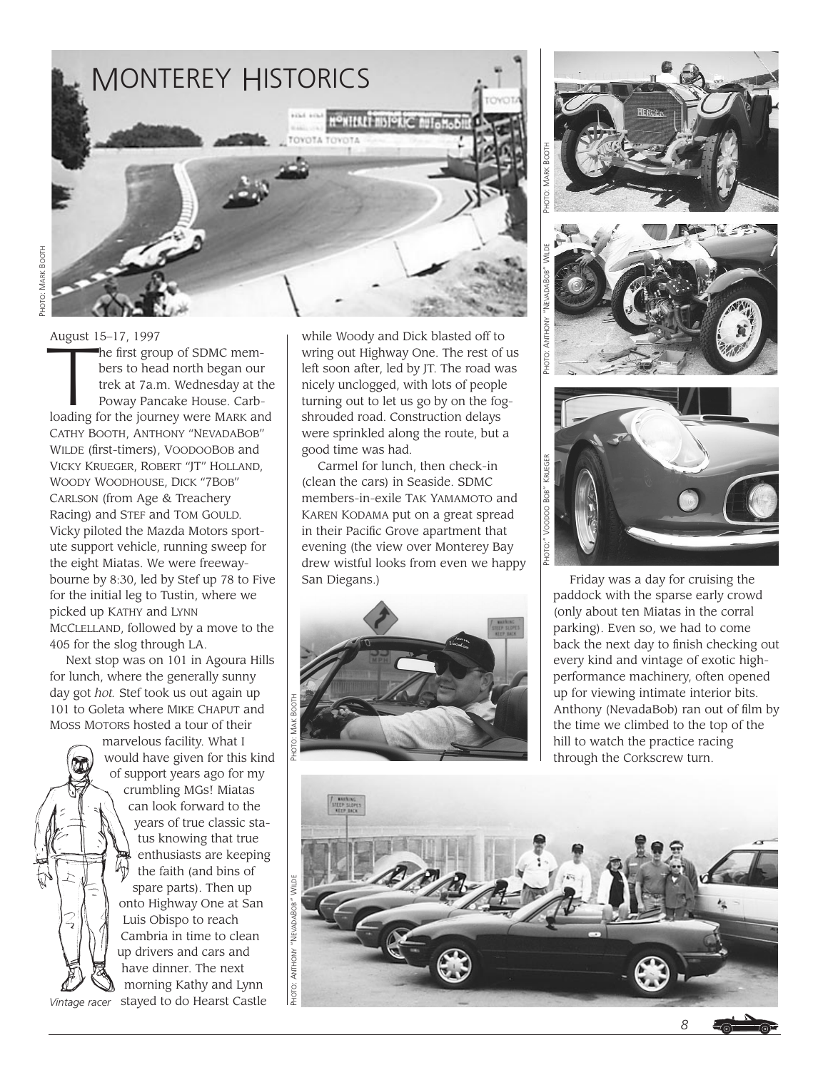

August 15–17, 1997 August 15–17, 1997<br>he first group of SDMC members to head north began our<br>trek at 7a.m. Wednesday at the<br>Poway Pancake House. Carbbers to head north began our trek at 7a.m. Wednesday at the Poway Pancake House. Carbloading for the journey were MARK and CATHY BOOTH, ANTHONY "NEVADABOB" WILDE (first-timers), VOODOOBOB and VICKY KRUEGER, ROBERT "JT" HOLLAND, WOODY WOODHOUSE, DICK "7BOB" CARLSON (from Age & Treachery Racing) and STEF and TOM GOULD. Vicky piloted the Mazda Motors sportute support vehicle, running sweep for the eight Miatas. We were freewaybourne by 8:30, led by Stef up 78 to Five for the initial leg to Tustin, where we picked up KATHY and LYNN MCCLELLAND, followed by a move to the 405 for the slog through LA.

Next stop was on 101 in Agoura Hills for lunch, where the generally sunny day got *hot.* Stef took us out again up 101 to Goleta where MIKE CHAPUT and MOSS MOTORS hosted a tour of their

marvelous facility. What I would have given for this kind of support years ago for my crumbling MGs! Miatas can look forward to the years of true classic status knowing that true enthusiasts are keeping the faith (and bins of spare parts). Then up onto Highway One at San Luis Obispo to reach Cambria in time to clean up drivers and cars and have dinner. The next morning Kathy and Lynn stayed to do Hearst Castle *Vintage racer*

while Woody and Dick blasted off to wring out Highway One. The rest of us left soon after, led by JT. The road was nicely unclogged, with lots of people turning out to let us go by on the fogshrouded road. Construction delays were sprinkled along the route, but a good time was had.

Carmel for lunch, then check-in (clean the cars) in Seaside. SDMC members-in-exile TAK YAMAMOTO and KAREN KODAMA put on a great spread in their Pacific Grove apartment that evening (the view over Monterey Bay drew wistful looks from even we happy San Diegans.) Friday was a day for cruising the









paddock with the sparse early crowd (only about ten Miatas in the corral parking). Even so, we had to come back the next day to finish checking out every kind and vintage of exotic highperformance machinery, often opened up for viewing intimate interior bits. Anthony (NevadaBob) ran out of film by the time we climbed to the top of the hill to watch the practice racing through the Corkscrew turn.



*8*